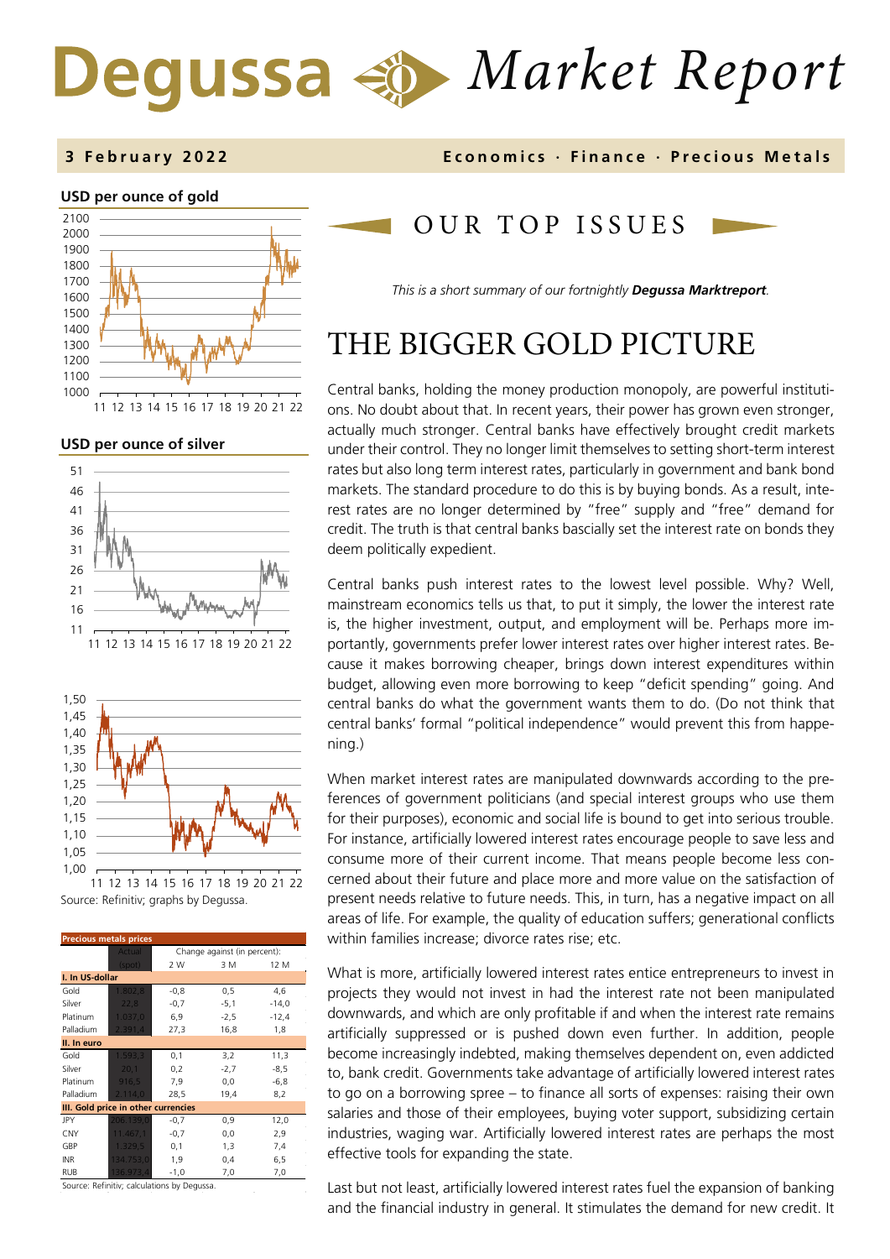# *Market Report* Degussa





**USD per ounce of silver** 





Source: Refinitiv; graphs by Degussa.

| <b>Precious metals prices</b>       |               |                              |        |         |  |  |
|-------------------------------------|---------------|------------------------------|--------|---------|--|--|
|                                     | <b>Actual</b> | Change against (in percent): |        |         |  |  |
|                                     | (spot)        | 2 W                          | 3 M    | 12 M    |  |  |
| I. In US-dollar                     |               |                              |        |         |  |  |
| Gold                                | 1.802,8       | $-0,8$                       | 0, 5   | 4,6     |  |  |
| Silver                              | 22,8          | $-0,7$                       | $-5,1$ | $-14,0$ |  |  |
| Platinum                            | 1.037,0       | 6,9                          | $-2,5$ | $-12,4$ |  |  |
| Palladium                           | 2.391,4       | 27,3                         | 16,8   | 1,8     |  |  |
| II. In euro                         |               |                              |        |         |  |  |
| Gold                                | 1.593,3       | 0,1                          | 3,2    | 11,3    |  |  |
| Silver                              | 20,1          | 0,2                          | $-2,7$ | $-8,5$  |  |  |
| Platinum                            | 916,5         | 7,9                          | 0,0    | $-6,8$  |  |  |
| Palladium                           | 2.114,0       | 28,5                         | 19,4   | 8,2     |  |  |
| III. Gold price in other currencies |               |                              |        |         |  |  |
| JPY                                 | 206.139,0     | $-0,7$                       | 0,9    | 12,0    |  |  |
| <b>CNY</b>                          | 11.467,1      | $-0,7$                       | 0,0    | 2,9     |  |  |
| GBP                                 | 1.329,5       | 0,1                          | 1,3    | 7,4     |  |  |
| <b>INR</b>                          | 134.753,0     | 1,9                          | 0,4    | 6,5     |  |  |
| <b>RUB</b>                          | 136.973,4     | $-1,0$                       | 7,0    | 7,0     |  |  |

Source: Refinitiv; calculations by Degussa.

### OUR TOP ISSUE S

*This is a short summary of our fortnightly Degussa Marktreport.* 

## THE BIGGER GOLD PICTURE

Central banks, holding the money production monopoly, are powerful institutions. No doubt about that. In recent years, their power has grown even stronger, actually much stronger. Central banks have effectively brought credit markets under their control. They no longer limit themselves to setting short-term interest rates but also long term interest rates, particularly in government and bank bond markets. The standard procedure to do this is by buying bonds. As a result, interest rates are no longer determined by "free" supply and "free" demand for credit. The truth is that central banks bascially set the interest rate on bonds they deem politically expedient.

Central banks push interest rates to the lowest level possible. Why? Well, mainstream economics tells us that, to put it simply, the lower the interest rate is, the higher investment, output, and employment will be. Perhaps more importantly, governments prefer lower interest rates over higher interest rates. Because it makes borrowing cheaper, brings down interest expenditures within budget, allowing even more borrowing to keep "deficit spending" going. And central banks do what the government wants them to do. (Do not think that central banks' formal "political independence" would prevent this from happening.)

When market interest rates are manipulated downwards according to the preferences of government politicians (and special interest groups who use them for their purposes), economic and social life is bound to get into serious trouble. For instance, artificially lowered interest rates encourage people to save less and consume more of their current income. That means people become less concerned about their future and place more and more value on the satisfaction of present needs relative to future needs. This, in turn, has a negative impact on all areas of life. For example, the quality of education suffers; generational conflicts within families increase; divorce rates rise; etc.

What is more, artificially lowered interest rates entice entrepreneurs to invest in projects they would not invest in had the interest rate not been manipulated downwards, and which are only profitable if and when the interest rate remains artificially suppressed or is pushed down even further. In addition, people become increasingly indebted, making themselves dependent on, even addicted to, bank credit. Governments take advantage of artificially lowered interest rates to go on a borrowing spree – to finance all sorts of expenses: raising their own salaries and those of their employees, buying voter support, subsidizing certain industries, waging war. Artificially lowered interest rates are perhaps the most effective tools for expanding the state.

Last but not least, artificially lowered interest rates fuel the expansion of banking and the financial industry in general. It stimulates the demand for new credit. It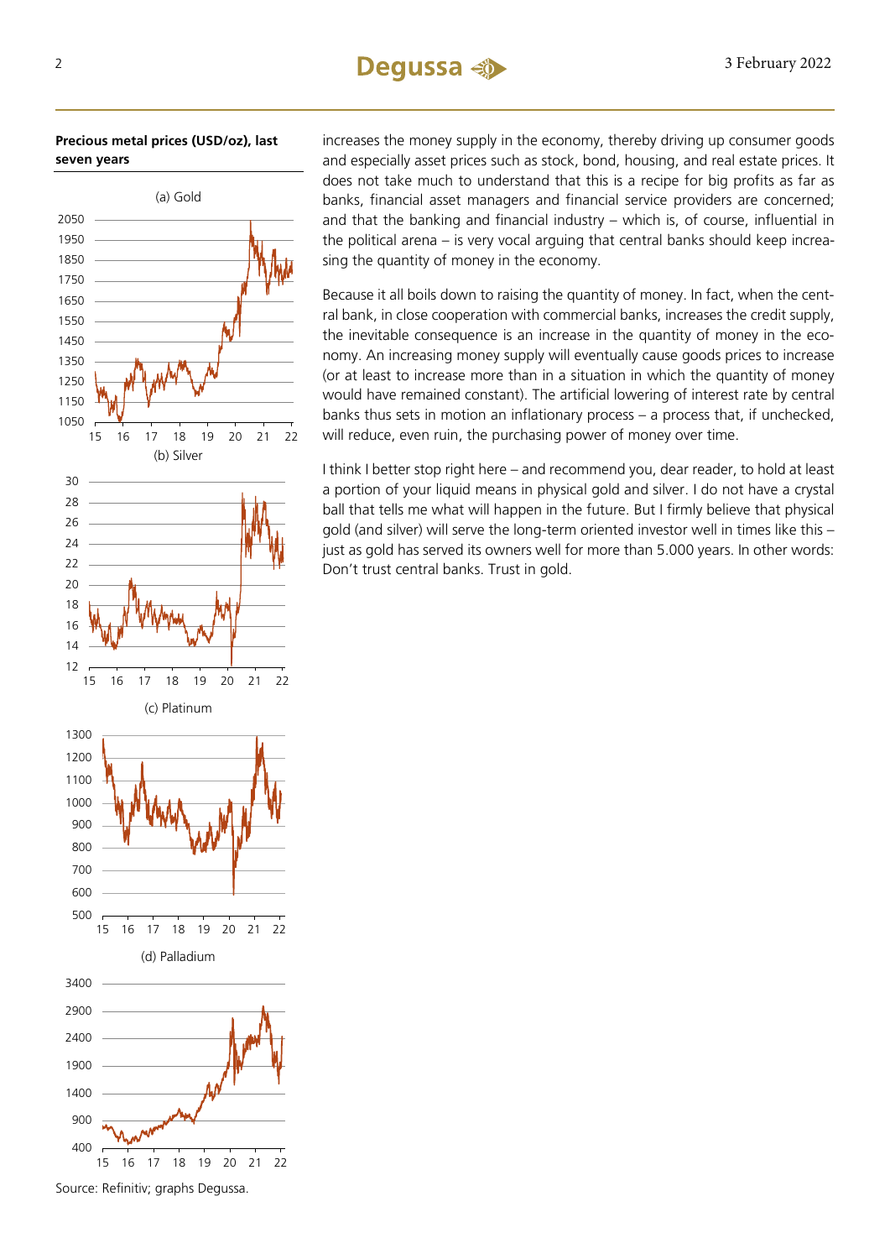### 2 3 February 2022

**Precious metal prices (USD/oz), last seven years**



increases the money supply in the economy, thereby driving up consumer goods and especially asset prices such as stock, bond, housing, and real estate prices. It does not take much to understand that this is a recipe for big profits as far as banks, financial asset managers and financial service providers are concerned; and that the banking and financial industry – which is, of course, influential in the political arena – is very vocal arguing that central banks should keep increasing the quantity of money in the economy.

Because it all boils down to raising the quantity of money. In fact, when the central bank, in close cooperation with commercial banks, increases the credit supply, the inevitable consequence is an increase in the quantity of money in the economy. An increasing money supply will eventually cause goods prices to increase (or at least to increase more than in a situation in which the quantity of money would have remained constant). The artificial lowering of interest rate by central banks thus sets in motion an inflationary process – a process that, if unchecked, will reduce, even ruin, the purchasing power of money over time.

I think I better stop right here – and recommend you, dear reader, to hold at least a portion of your liquid means in physical gold and silver. I do not have a crystal ball that tells me what will happen in the future. But I firmly believe that physical gold (and silver) will serve the long-term oriented investor well in times like this – just as gold has served its owners well for more than 5.000 years. In other words: Don't trust central banks. Trust in gold.

Source: Refinitiv; graphs Degussa.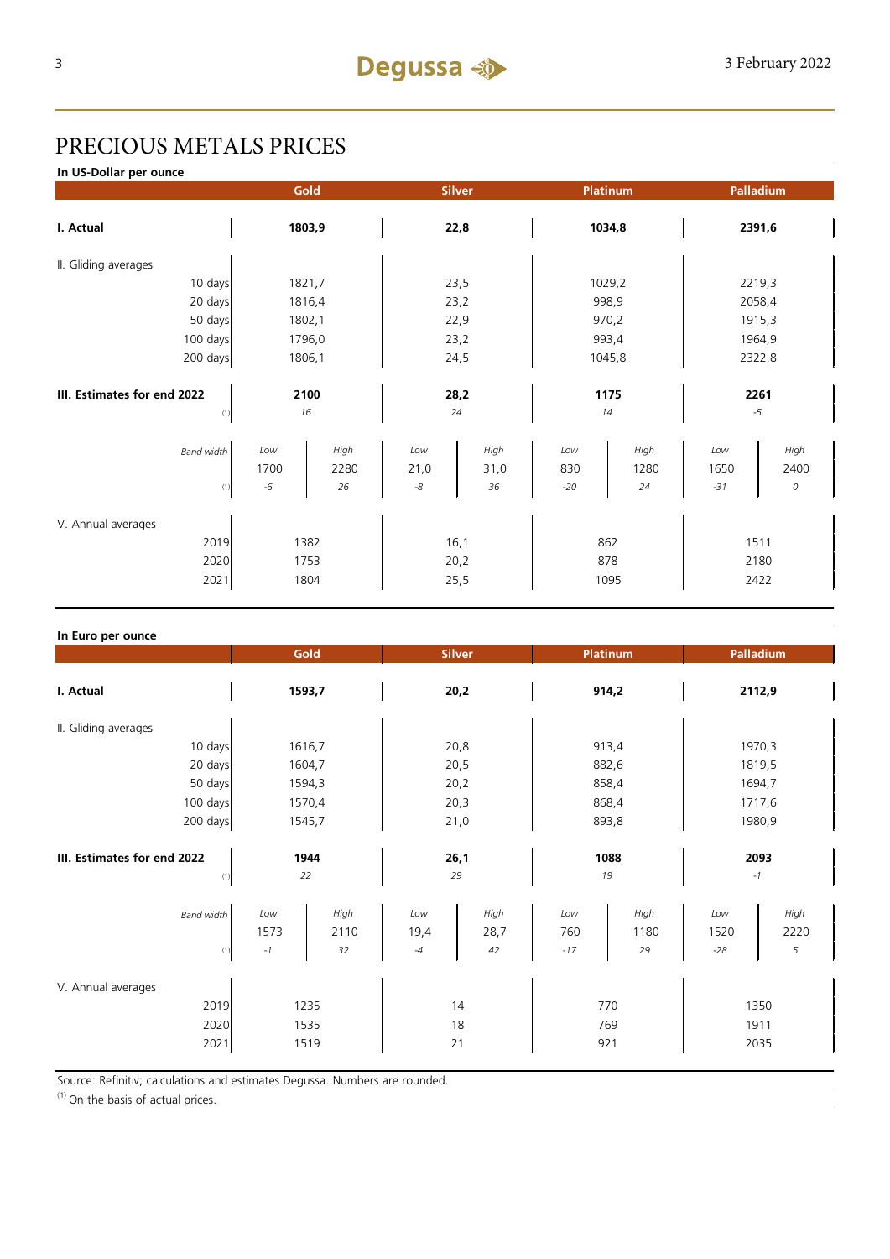### PRECIOUS METALS PRICES

**In US-Dollar per ounce**

|                             |             | Gold         | <b>Silver</b> |              | Platinum   |                  | Palladium   |              |  |
|-----------------------------|-------------|--------------|---------------|--------------|------------|------------------|-------------|--------------|--|
| I. Actual                   |             | 1803,9       |               | 22,8         |            | 1034,8<br>2391,6 |             |              |  |
| II. Gliding averages        |             |              |               |              |            |                  |             |              |  |
| 10 days                     | 1821,7      |              | 23,5          |              | 1029,2     |                  | 2219,3      |              |  |
| 20 days                     | 1816,4      |              | 23,2          |              | 998,9      |                  | 2058,4      |              |  |
| 50 days                     | 1802,1      |              | 22,9          |              | 970,2      |                  | 1915,3      |              |  |
| 100 days                    | 1796,0      |              | 23,2          |              | 993,4      |                  | 1964,9      |              |  |
| 200 days                    | 1806,1      |              | 24,5          |              | 1045,8     |                  | 2322,8      |              |  |
|                             |             |              |               |              |            |                  |             |              |  |
| III. Estimates for end 2022 |             | 2100         |               | 28,2         |            | 1175             |             | 2261         |  |
| (1)                         |             | 16           | 24            |              | 14         |                  | $-5$        |              |  |
| <b>Band width</b>           | Low<br>1700 | High<br>2280 | Low<br>21,0   | High<br>31,0 | Low<br>830 | High<br>1280     | Low<br>1650 | High<br>2400 |  |
| (1)                         | $-6$        | 26           | $\text{-}8$   | 36           | $-20$      | 24               | $-31$       | 0            |  |
| V. Annual averages          |             |              |               |              |            |                  |             |              |  |
| 2019                        | 1382        |              | 16,1          |              | 862        |                  | 1511        |              |  |
| 2020                        | 1753        |              | 20,2          |              | 878        |                  | 2180        |              |  |
| 2021                        | 1804        |              | 25,5          |              | 1095       |                  | 2422        |              |  |

| In Euro per ounce                          |                                                  |                                           |                                           |                                           |  |
|--------------------------------------------|--------------------------------------------------|-------------------------------------------|-------------------------------------------|-------------------------------------------|--|
|                                            | Gold                                             | <b>Silver</b>                             | Platinum                                  | Palladium                                 |  |
| I. Actual                                  | 1593,7                                           | 20,2                                      | 914,2                                     | 2112,9                                    |  |
| II. Gliding averages                       |                                                  |                                           |                                           |                                           |  |
| 10 days                                    | 1616,7                                           | 20,8                                      | 913,4                                     | 1970,3                                    |  |
| 20 days                                    | 1604,7                                           | 20,5                                      | 882,6                                     | 1819,5                                    |  |
| 50 days                                    | 1594,3                                           | 20,2                                      | 858,4                                     | 1694,7                                    |  |
| 100 days                                   | 1570,4                                           | 20,3                                      | 868,4                                     | 1717,6                                    |  |
| 200 days                                   | 1545,7                                           | 21,0                                      | 893,8                                     | 1980,9                                    |  |
| III. Estimates for end 2022<br>(1)         | 1944<br>22                                       | 26,1<br>29                                | 1088<br>19                                | 2093<br>$-1$                              |  |
| <b>Band width</b><br>(1)                   | Low<br>High<br>1573<br>2110<br>32<br>$^{\rm -1}$ | High<br>Low<br>19,4<br>28,7<br>42<br>$-4$ | High<br>Low<br>760<br>1180<br>$-17$<br>29 | High<br>Low<br>2220<br>1520<br>5<br>$-28$ |  |
| V. Annual averages<br>2019<br>2020<br>2021 | 1235<br>1535<br>1519                             | 14<br>18<br>21                            | 770<br>769<br>921                         | 1350<br>1911<br>2035                      |  |

Source: Refinitiv; calculations and estimates Degussa. Numbers are rounded.

 $(1)$  On the basis of actual prices.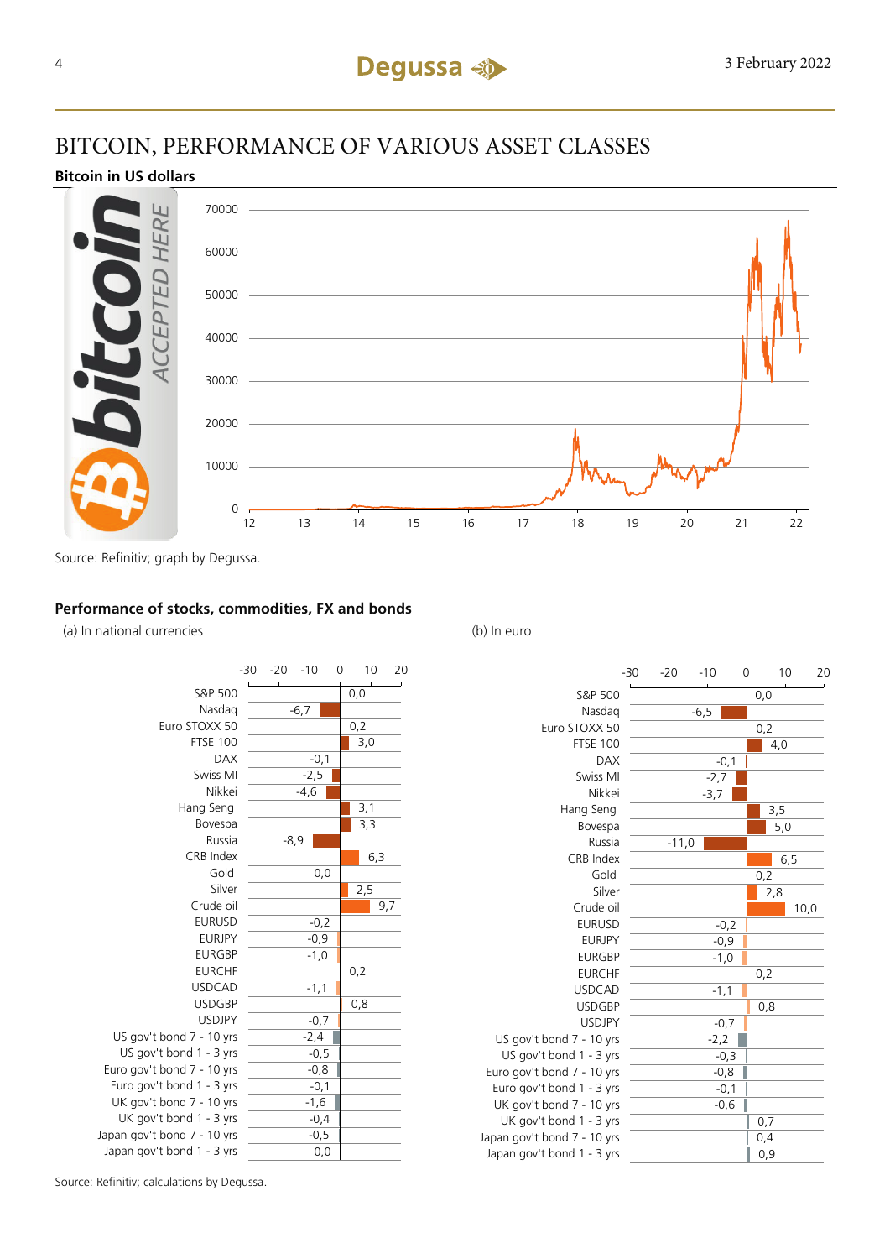### BITCOIN, PERFORMANCE OF VARIOUS ASSET CLASSES

#### **Bitcoin in US dollars**



Source: Refinitiv; graph by Degussa.

#### **Performance of stocks, commodities, FX and bonds**

(a) In national currencies (b) In euro



|                             | $-30$ | $-20$   | $-10$  | 0      |     | 10   | 20 |
|-----------------------------|-------|---------|--------|--------|-----|------|----|
| S&P 500                     |       |         |        |        | 0,0 |      |    |
| Nasdag                      |       |         | $-6,5$ |        |     |      |    |
| Euro STOXX 50               |       |         |        |        | 0,2 |      |    |
| <b>FTSE 100</b>             |       |         |        |        | 4,0 |      |    |
| <b>DAX</b>                  |       |         |        | $-0,1$ |     |      |    |
| Swiss MI                    |       |         | $-2,7$ |        |     |      |    |
| Nikkei                      |       |         | $-3,7$ |        |     |      |    |
| Hang Seng                   |       |         |        |        | 3,5 |      |    |
| Bovespa                     |       |         |        |        | 5,0 |      |    |
| Russia                      |       | $-11,0$ |        |        |     |      |    |
| CRB Index                   |       |         |        |        |     | 6,5  |    |
| Gold                        |       |         |        |        | 0,2 |      |    |
| Silver                      |       |         |        |        | 2,8 |      |    |
| Crude oil                   |       |         |        |        |     | 10,0 |    |
| <b>EURUSD</b>               |       |         |        | $-0,2$ |     |      |    |
| <b>EURJPY</b>               |       |         |        | $-0,9$ |     |      |    |
| <b>EURGBP</b>               |       |         |        | $-1,0$ |     |      |    |
| <b>EURCHF</b>               |       |         |        |        | 0,2 |      |    |
| <b>USDCAD</b>               |       |         |        | $-1,1$ |     |      |    |
| <b>USDGBP</b>               |       |         |        |        | 0,8 |      |    |
| <b>USDJPY</b>               |       |         |        | $-0,7$ |     |      |    |
| US gov't bond 7 - 10 yrs    |       |         | $-2,2$ |        |     |      |    |
| US gov't bond 1 - 3 yrs     |       |         |        | $-0,3$ |     |      |    |
| Euro gov't bond 7 - 10 yrs  |       |         |        | $-0,8$ |     |      |    |
| Euro gov't bond 1 - 3 yrs   |       |         |        | $-0,1$ |     |      |    |
| UK gov't bond 7 - 10 yrs    |       |         |        | $-0,6$ |     |      |    |
| UK gov't bond 1 - 3 yrs     |       |         |        |        | 0,7 |      |    |
| Japan gov't bond 7 - 10 yrs |       |         |        |        | 0,4 |      |    |
| Japan gov't bond 1 - 3 yrs  |       |         |        |        | 0,9 |      |    |

Source: Refinitiv; calculations by Degussa.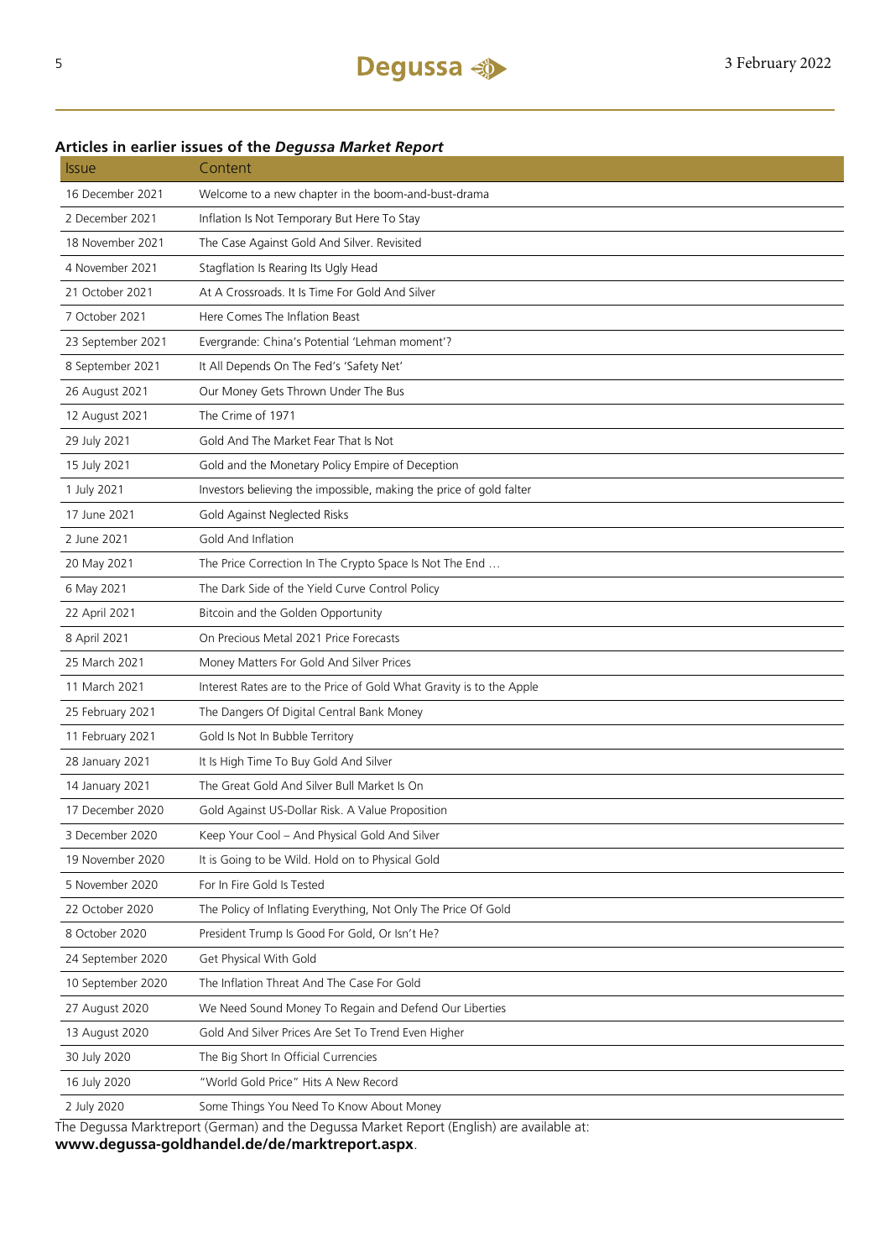### **Articles in earlier issues of the** *Degussa Market Report*

| <b>Issue</b>      | Content                                                                                    |
|-------------------|--------------------------------------------------------------------------------------------|
| 16 December 2021  | Welcome to a new chapter in the boom-and-bust-drama                                        |
| 2 December 2021   | Inflation Is Not Temporary But Here To Stay                                                |
| 18 November 2021  | The Case Against Gold And Silver. Revisited                                                |
| 4 November 2021   | Stagflation Is Rearing Its Ugly Head                                                       |
| 21 October 2021   | At A Crossroads. It Is Time For Gold And Silver                                            |
| 7 October 2021    | Here Comes The Inflation Beast                                                             |
| 23 September 2021 | Evergrande: China's Potential 'Lehman moment'?                                             |
| 8 September 2021  | It All Depends On The Fed's 'Safety Net'                                                   |
| 26 August 2021    | Our Money Gets Thrown Under The Bus                                                        |
| 12 August 2021    | The Crime of 1971                                                                          |
| 29 July 2021      | Gold And The Market Fear That Is Not                                                       |
| 15 July 2021      | Gold and the Monetary Policy Empire of Deception                                           |
| 1 July 2021       | Investors believing the impossible, making the price of gold falter                        |
| 17 June 2021      | Gold Against Neglected Risks                                                               |
| 2 June 2021       | Gold And Inflation                                                                         |
| 20 May 2021       | The Price Correction In The Crypto Space Is Not The End                                    |
| 6 May 2021        | The Dark Side of the Yield Curve Control Policy                                            |
| 22 April 2021     | Bitcoin and the Golden Opportunity                                                         |
| 8 April 2021      | On Precious Metal 2021 Price Forecasts                                                     |
| 25 March 2021     | Money Matters For Gold And Silver Prices                                                   |
| 11 March 2021     | Interest Rates are to the Price of Gold What Gravity is to the Apple                       |
| 25 February 2021  | The Dangers Of Digital Central Bank Money                                                  |
| 11 February 2021  | Gold Is Not In Bubble Territory                                                            |
| 28 January 2021   | It Is High Time To Buy Gold And Silver                                                     |
| 14 January 2021   | The Great Gold And Silver Bull Market Is On                                                |
| 17 December 2020  | Gold Against US-Dollar Risk. A Value Proposition                                           |
| 3 December 2020   | Keep Your Cool - And Physical Gold And Silver                                              |
| 19 November 2020  | It is Going to be Wild. Hold on to Physical Gold                                           |
| 5 November 2020   | For In Fire Gold Is Tested                                                                 |
| 22 October 2020   | The Policy of Inflating Everything, Not Only The Price Of Gold                             |
| 8 October 2020    | President Trump Is Good For Gold, Or Isn't He?                                             |
| 24 September 2020 | Get Physical With Gold                                                                     |
| 10 September 2020 | The Inflation Threat And The Case For Gold                                                 |
| 27 August 2020    | We Need Sound Money To Regain and Defend Our Liberties                                     |
| 13 August 2020    | Gold And Silver Prices Are Set To Trend Even Higher                                        |
| 30 July 2020      | The Big Short In Official Currencies                                                       |
| 16 July 2020      | "World Gold Price" Hits A New Record                                                       |
| 2 July 2020       | Some Things You Need To Know About Money                                                   |
|                   | The Degussa Marktreport (German) and the Degussa Market Report (English) are available at: |

**www.degussa-goldhandel.de/de/marktreport.aspx**.